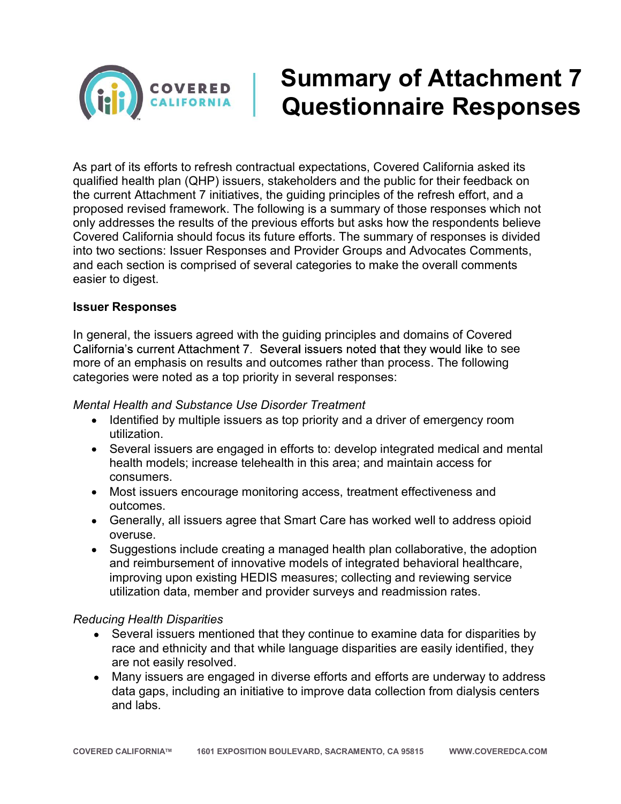

# Summary of Attachment 7 Questionnaire Responses

As part of its efforts to refresh contractual expectations, Covered California asked its qualified health plan (QHP) issuers, stakeholders and the public for their feedback on the current Attachment 7 initiatives, the guiding principles of the refresh effort, and a proposed revised framework. The following is a summary of those responses which not only addresses the results of the previous efforts but asks how the respondents believe Covered California should focus its future efforts. The summary of responses is divided into two sections: Issuer Responses and Provider Groups and Advocates Comments, and each section is comprised of several categories to make the overall comments easier to digest.

#### Issuer Responses

In general, the issuers agreed with the guiding principles and domains of Covered California's current Attachment 7. Several issuers noted that they would like to see more of an emphasis on results and outcomes rather than process. The following categories were noted as a top priority in several responses:

#### Mental Health and Substance Use Disorder Treatment

- Identified by multiple issuers as top priority and a driver of emergency room utilization.
- Several issuers are engaged in efforts to: develop integrated medical and mental health models; increase telehealth in this area; and maintain access for consumers.
- Most issuers encourage monitoring access, treatment effectiveness and outcomes.
- Generally, all issuers agree that Smart Care has worked well to address opioid overuse.
- Suggestions include creating a managed health plan collaborative, the adoption and reimbursement of innovative models of integrated behavioral healthcare, improving upon existing HEDIS measures; collecting and reviewing service utilization data, member and provider surveys and readmission rates.

#### Reducing Health Disparities

- Several issuers mentioned that they continue to examine data for disparities by race and ethnicity and that while language disparities are easily identified, they are not easily resolved.
- Many issuers are engaged in diverse efforts and efforts are underway to address data gaps, including an initiative to improve data collection from dialysis centers and labs.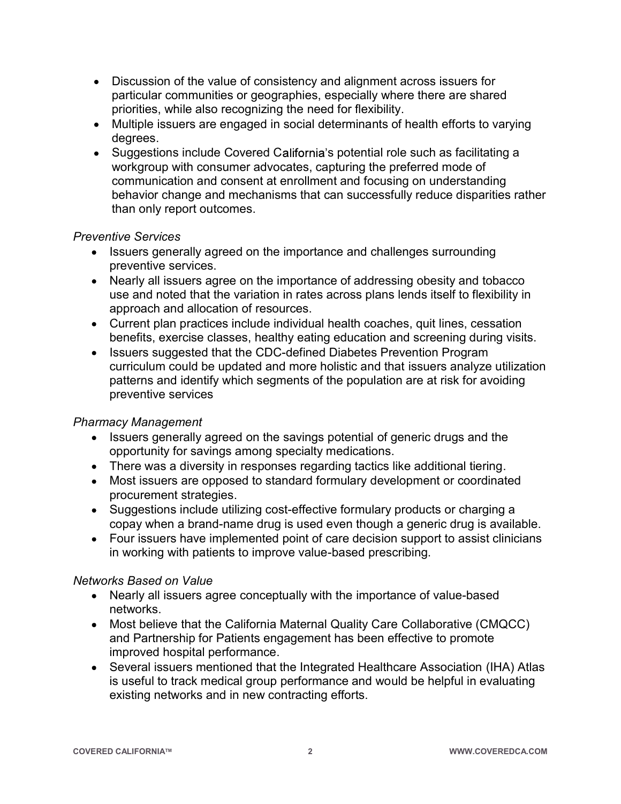- Discussion of the value of consistency and alignment across issuers for particular communities or geographies, especially where there are shared priorities, while also recognizing the need for flexibility.
- Multiple issuers are engaged in social determinants of health efforts to varying degrees.
- Suggestions include Covered California's potential role such as facilitating a workgroup with consumer advocates, capturing the preferred mode of communication and consent at enrollment and focusing on understanding behavior change and mechanisms that can successfully reduce disparities rather than only report outcomes.

## Preventive Services

- Issuers generally agreed on the importance and challenges surrounding preventive services.
- Nearly all issuers agree on the importance of addressing obesity and tobacco use and noted that the variation in rates across plans lends itself to flexibility in approach and allocation of resources.
- Current plan practices include individual health coaches, quit lines, cessation benefits, exercise classes, healthy eating education and screening during visits.
- Issuers suggested that the CDC-defined Diabetes Prevention Program curriculum could be updated and more holistic and that issuers analyze utilization patterns and identify which segments of the population are at risk for avoiding preventive services

## Pharmacy Management

- Issuers generally agreed on the savings potential of generic drugs and the opportunity for savings among specialty medications.
- There was a diversity in responses regarding tactics like additional tiering.
- Most issuers are opposed to standard formulary development or coordinated procurement strategies.
- Suggestions include utilizing cost-effective formulary products or charging a copay when a brand-name drug is used even though a generic drug is available.
- Four issuers have implemented point of care decision support to assist clinicians in working with patients to improve value-based prescribing.

## Networks Based on Value

- Nearly all issuers agree conceptually with the importance of value-based networks.
- Most believe that the California Maternal Quality Care Collaborative (CMQCC) and Partnership for Patients engagement has been effective to promote improved hospital performance.
- Several issuers mentioned that the Integrated Healthcare Association (IHA) Atlas is useful to track medical group performance and would be helpful in evaluating existing networks and in new contracting efforts.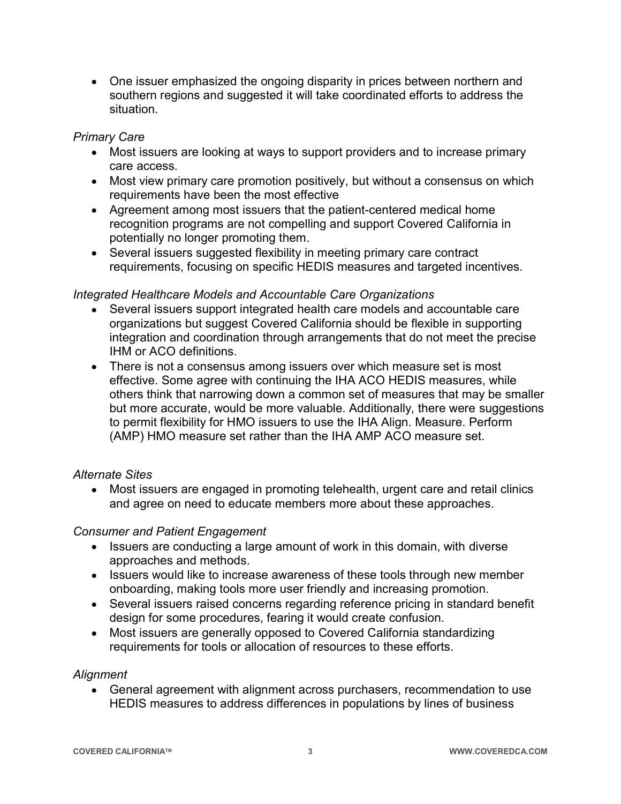One issuer emphasized the ongoing disparity in prices between northern and southern regions and suggested it will take coordinated efforts to address the situation.

## Primary Care

- Most issuers are looking at ways to support providers and to increase primary care access.
- Most view primary care promotion positively, but without a consensus on which requirements have been the most effective
- Agreement among most issuers that the patient-centered medical home recognition programs are not compelling and support Covered California in potentially no longer promoting them.
- Several issuers suggested flexibility in meeting primary care contract requirements, focusing on specific HEDIS measures and targeted incentives.

## Integrated Healthcare Models and Accountable Care Organizations

- Several issuers support integrated health care models and accountable care organizations but suggest Covered California should be flexible in supporting integration and coordination through arrangements that do not meet the precise IHM or ACO definitions.
- There is not a consensus among issuers over which measure set is most effective. Some agree with continuing the IHA ACO HEDIS measures, while others think that narrowing down a common set of measures that may be smaller but more accurate, would be more valuable. Additionally, there were suggestions to permit flexibility for HMO issuers to use the IHA Align. Measure. Perform (AMP) HMO measure set rather than the IHA AMP ACO measure set.

## Alternate Sites

 Most issuers are engaged in promoting telehealth, urgent care and retail clinics and agree on need to educate members more about these approaches.

## Consumer and Patient Engagement

- Issuers are conducting a large amount of work in this domain, with diverse approaches and methods.
- Issuers would like to increase awareness of these tools through new member onboarding, making tools more user friendly and increasing promotion.
- Several issuers raised concerns regarding reference pricing in standard benefit design for some procedures, fearing it would create confusion.
- Most issuers are generally opposed to Covered California standardizing requirements for tools or allocation of resources to these efforts.

## Alignment

 General agreement with alignment across purchasers, recommendation to use HEDIS measures to address differences in populations by lines of business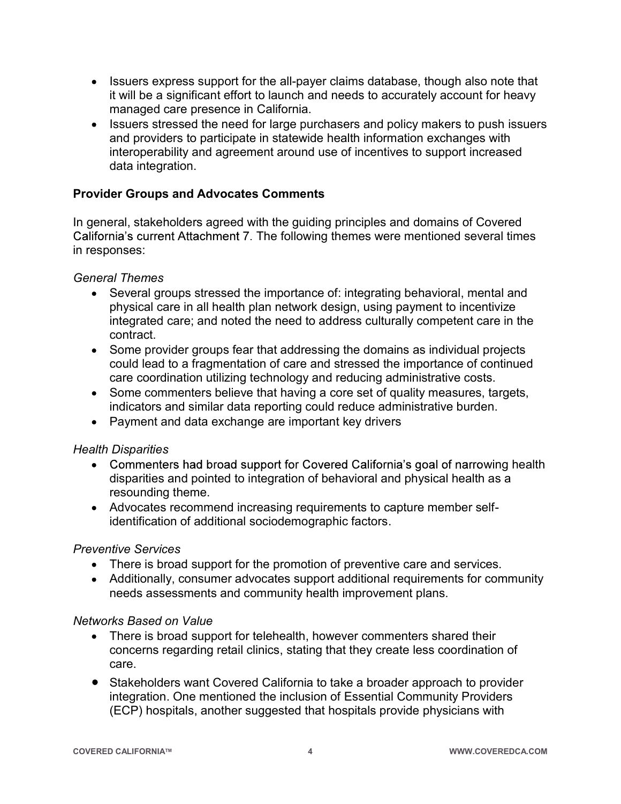- Issuers express support for the all-payer claims database, though also note that it will be a significant effort to launch and needs to accurately account for heavy managed care presence in California.
- Issuers stressed the need for large purchasers and policy makers to push issuers and providers to participate in statewide health information exchanges with interoperability and agreement around use of incentives to support increased data integration.

# Provider Groups and Advocates Comments

In general, stakeholders agreed with the guiding principles and domains of Covered California's current Attachment 7. The following themes were mentioned several times in responses:

#### General Themes

- Several groups stressed the importance of: integrating behavioral, mental and physical care in all health plan network design, using payment to incentivize integrated care; and noted the need to address culturally competent care in the contract.
- Some provider groups fear that addressing the domains as individual projects could lead to a fragmentation of care and stressed the importance of continued care coordination utilizing technology and reducing administrative costs.
- Some commenters believe that having a core set of quality measures, targets, indicators and similar data reporting could reduce administrative burden.
- Payment and data exchange are important key drivers

## Health Disparities

- Commenters had broad support for Covered California's goal of narrowing health disparities and pointed to integration of behavioral and physical health as a resounding theme.
- Advocates recommend increasing requirements to capture member selfidentification of additional sociodemographic factors.

## Preventive Services

- There is broad support for the promotion of preventive care and services.
- Additionally, consumer advocates support additional requirements for community needs assessments and community health improvement plans.

#### Networks Based on Value

- There is broad support for telehealth, however commenters shared their concerns regarding retail clinics, stating that they create less coordination of care.
- Stakeholders want Covered California to take a broader approach to provider integration. One mentioned the inclusion of Essential Community Providers (ECP) hospitals, another suggested that hospitals provide physicians with